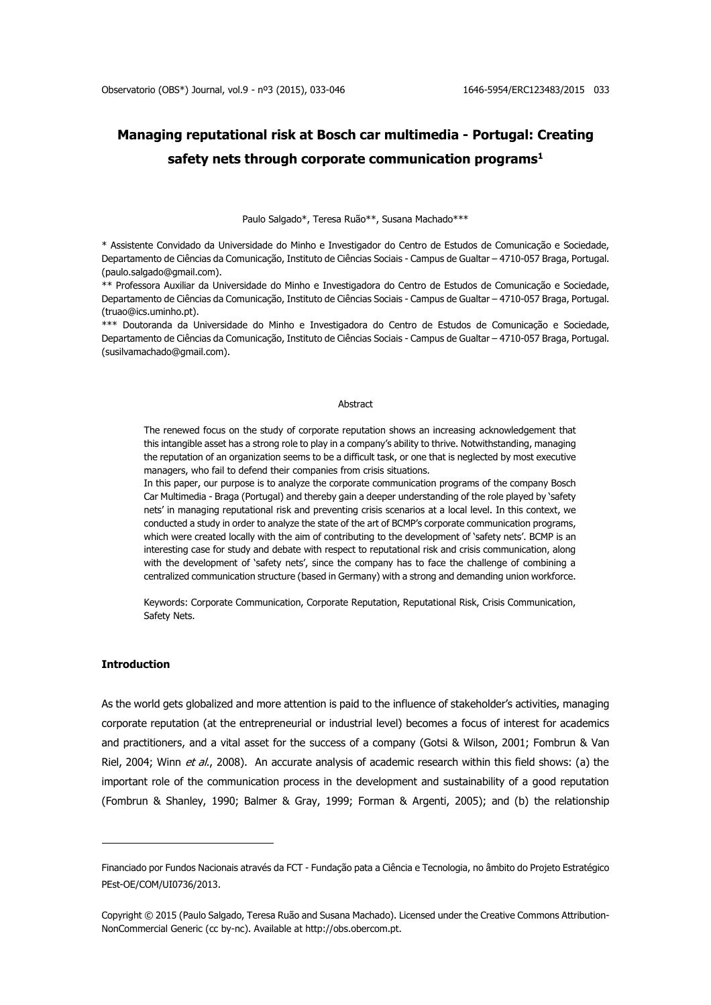# **Managing reputational risk at Bosch car multimedia - Portugal: Creating safety nets through corporate communication programs<sup>1</sup>**

Paulo Salgado\*, Teresa Ruão\*\*, Susana Machado\*\*\*

\* Assistente Convidado da Universidade do Minho e Investigador do Centro de Estudos de Comunicação e Sociedade, Departamento de Ciências da Comunicação, Instituto de Ciências Sociais - Campus de Gualtar – 4710-057 Braga, Portugal. (paulo.salgado@gmail.com).

\*\* Professora Auxiliar da Universidade do Minho e Investigadora do Centro de Estudos de Comunicação e Sociedade, Departamento de Ciências da Comunicação, Instituto de Ciências Sociais - Campus de Gualtar – 4710-057 Braga, Portugal. (truao@ics.uminho.pt).

\*\*\* Doutoranda da Universidade do Minho e Investigadora do Centro de Estudos de Comunicação e Sociedade, Departamento de Ciências da Comunicação, Instituto de Ciências Sociais - Campus de Gualtar – 4710-057 Braga, Portugal. (susilvamachado@gmail.com).

#### **Abstract**

The renewed focus on the study of corporate reputation shows an increasing acknowledgement that this intangible asset has a strong role to play in a company's ability to thrive. Notwithstanding, managing the reputation of an organization seems to be a difficult task, or one that is neglected by most executive managers, who fail to defend their companies from crisis situations.

In this paper, our purpose is to analyze the corporate communication programs of the company Bosch Car Multimedia - Braga (Portugal) and thereby gain a deeper understanding of the role played by 'safety nets' in managing reputational risk and preventing crisis scenarios at a local level. In this context, we conducted a study in order to analyze the state of the art of BCMP's corporate communication programs, which were created locally with the aim of contributing to the development of 'safety nets'. BCMP is an interesting case for study and debate with respect to reputational risk and crisis communication, along with the development of 'safety nets', since the company has to face the challenge of combining a centralized communication structure (based in Germany) with a strong and demanding union workforce.

Keywords: Corporate Communication, Corporate Reputation, Reputational Risk, Crisis Communication, Safety Nets.

## **Introduction**

1

As the world gets globalized and more attention is paid to the influence of stakeholder's activities, managing corporate reputation (at the entrepreneurial or industrial level) becomes a focus of interest for academics and practitioners, and a vital asset for the success of a company (Gotsi & Wilson, 2001; Fombrun & Van Riel, 2004; Winn et al., 2008). An accurate analysis of academic research within this field shows: (a) the important role of the communication process in the development and sustainability of a good reputation (Fombrun & Shanley, 1990; Balmer & Gray, 1999; Forman & Argenti, 2005); and (b) the relationship

Financiado por Fundos Nacionais através da FCT - Fundação pata a Ciência e Tecnologia, no âmbito do Projeto Estratégico PEst-OE/COM/UI0736/2013.

Copyright © 2015 (Paulo Salgado, Teresa Ruão and Susana Machado). Licensed under the Creative Commons Attribution-NonCommercial Generic (cc by-nc). Available at http://obs.obercom.pt.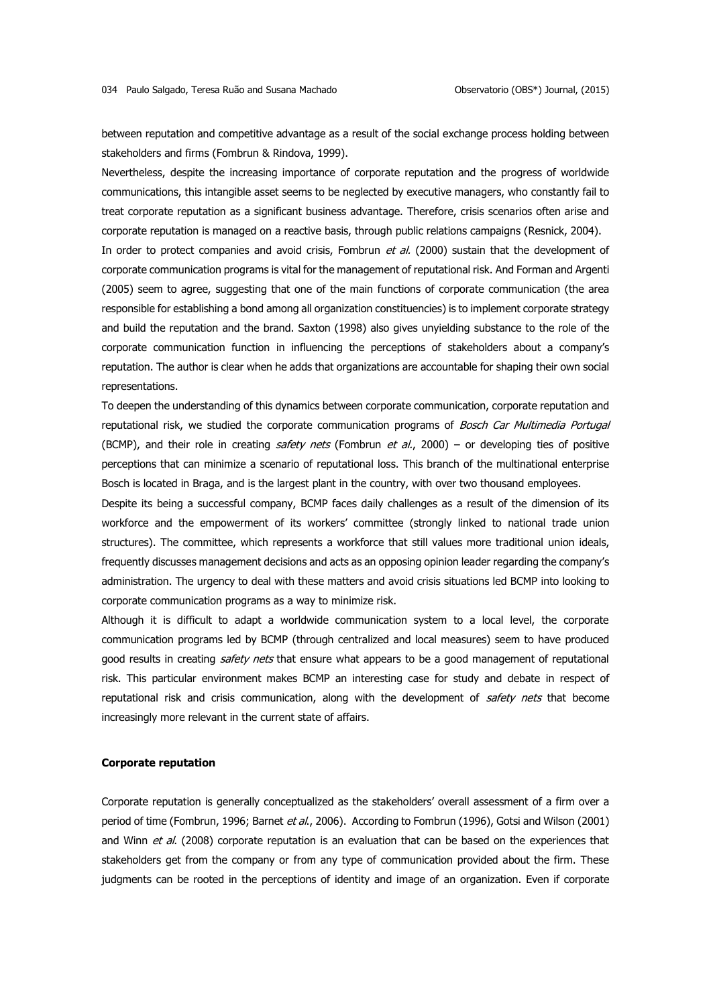between reputation and competitive advantage as a result of the social exchange process holding between stakeholders and firms (Fombrun & Rindova, 1999).

Nevertheless, despite the increasing importance of corporate reputation and the progress of worldwide communications, this intangible asset seems to be neglected by executive managers, who constantly fail to treat corporate reputation as a significant business advantage. Therefore, crisis scenarios often arise and corporate reputation is managed on a reactive basis, through public relations campaigns (Resnick, 2004).

In order to protect companies and avoid crisis, Fombrun et al. (2000) sustain that the development of corporate communication programs is vital for the management of reputational risk. And Forman and Argenti (2005) seem to agree, suggesting that one of the main functions of corporate communication (the area responsible for establishing a bond among all organization constituencies) is to implement corporate strategy and build the reputation and the brand. Saxton (1998) also gives unyielding substance to the role of the corporate communication function in influencing the perceptions of stakeholders about a company's reputation. The author is clear when he adds that organizations are accountable for shaping their own social representations.

To deepen the understanding of this dynamics between corporate communication, corporate reputation and reputational risk, we studied the corporate communication programs of Bosch Car Multimedia Portugal (BCMP), and their role in creating *safety nets* (Fombrun *et al.*, 2000) – or developing ties of positive perceptions that can minimize a scenario of reputational loss. This branch of the multinational enterprise Bosch is located in Braga, and is the largest plant in the country, with over two thousand employees.

Despite its being a successful company, BCMP faces daily challenges as a result of the dimension of its workforce and the empowerment of its workers' committee (strongly linked to national trade union structures). The committee, which represents a workforce that still values more traditional union ideals, frequently discusses management decisions and acts as an opposing opinion leader regarding the company's administration. The urgency to deal with these matters and avoid crisis situations led BCMP into looking to corporate communication programs as a way to minimize risk.

Although it is difficult to adapt a worldwide communication system to a local level, the corporate communication programs led by BCMP (through centralized and local measures) seem to have produced good results in creating safety nets that ensure what appears to be a good management of reputational risk. This particular environment makes BCMP an interesting case for study and debate in respect of reputational risk and crisis communication, along with the development of safety nets that become increasingly more relevant in the current state of affairs.

### **Corporate reputation**

Corporate reputation is generally conceptualized as the stakeholders' overall assessment of a firm over a period of time (Fombrun, 1996; Barnet et al., 2006). According to Fombrun (1996), Gotsi and Wilson (2001) and Winn et al. (2008) corporate reputation is an evaluation that can be based on the experiences that stakeholders get from the company or from any type of communication provided about the firm. These judgments can be rooted in the perceptions of identity and image of an organization. Even if corporate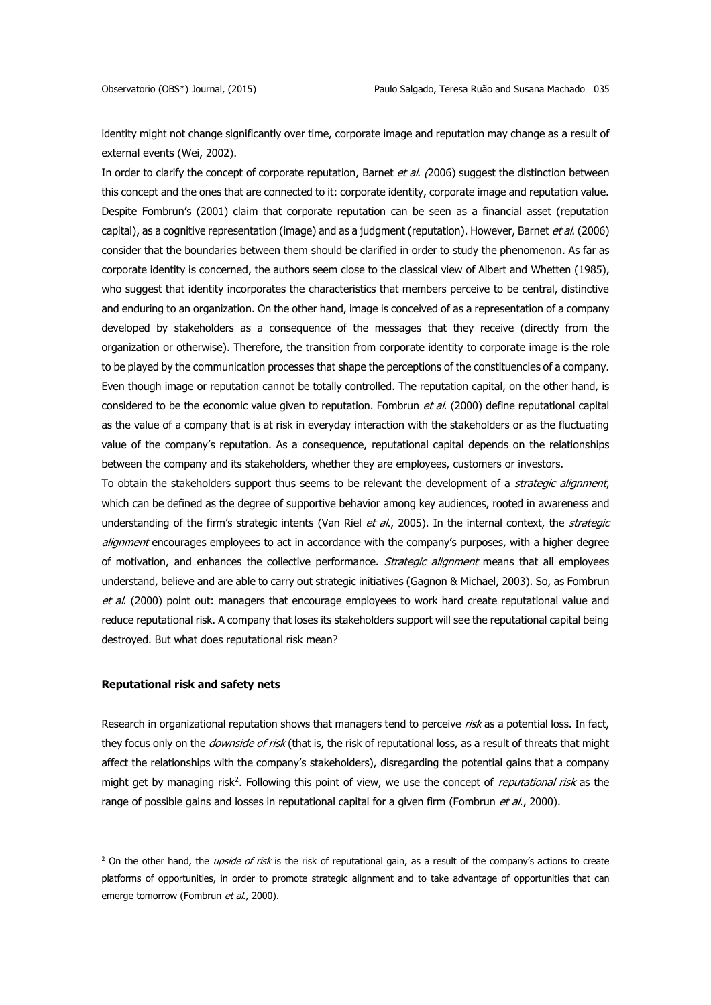identity might not change significantly over time, corporate image and reputation may change as a result of external events (Wei, 2002).

In order to clarify the concept of corporate reputation, Barnet et al. (2006) suggest the distinction between this concept and the ones that are connected to it: corporate identity, corporate image and reputation value. Despite Fombrun's (2001) claim that corporate reputation can be seen as a financial asset (reputation capital), as a cognitive representation (image) and as a judgment (reputation). However, Barnet et al. (2006) consider that the boundaries between them should be clarified in order to study the phenomenon. As far as corporate identity is concerned, the authors seem close to the classical view of Albert and Whetten (1985), who suggest that identity incorporates the characteristics that members perceive to be central, distinctive and enduring to an organization. On the other hand, image is conceived of as a representation of a company developed by stakeholders as a consequence of the messages that they receive (directly from the organization or otherwise). Therefore, the transition from corporate identity to corporate image is the role to be played by the communication processes that shape the perceptions of the constituencies of a company. Even though image or reputation cannot be totally controlled. The reputation capital, on the other hand, is considered to be the economic value given to reputation. Fombrun et al. (2000) define reputational capital as the value of a company that is at risk in everyday interaction with the stakeholders or as the fluctuating value of the company's reputation. As a consequence, reputational capital depends on the relationships between the company and its stakeholders, whether they are employees, customers or investors.

To obtain the stakeholders support thus seems to be relevant the development of a strategic alignment, which can be defined as the degree of supportive behavior among key audiences, rooted in awareness and understanding of the firm's strategic intents (Van Riel et al., 2005). In the internal context, the strategic alignment encourages employees to act in accordance with the company's purposes, with a higher degree of motivation, and enhances the collective performance. Strategic alignment means that all employees understand, believe and are able to carry out strategic initiatives (Gagnon & Michael, 2003). So, as Fombrun et al. (2000) point out: managers that encourage employees to work hard create reputational value and reduce reputational risk. A company that loses its stakeholders support will see the reputational capital being destroyed. But what does reputational risk mean?

## **Reputational risk and safety nets**

1

Research in organizational reputation shows that managers tend to perceive risk as a potential loss. In fact, they focus only on the *downside of risk* (that is, the risk of reputational loss, as a result of threats that might affect the relationships with the company's stakeholders), disregarding the potential gains that a company might get by managing risk<sup>2</sup>. Following this point of view, we use the concept of *reputational risk* as the range of possible gains and losses in reputational capital for a given firm (Fombrun et al., 2000).

<sup>&</sup>lt;sup>2</sup> On the other hand, the *upside of risk* is the risk of reputational gain, as a result of the company's actions to create platforms of opportunities, in order to promote strategic alignment and to take advantage of opportunities that can emerge tomorrow (Fombrun et al., 2000).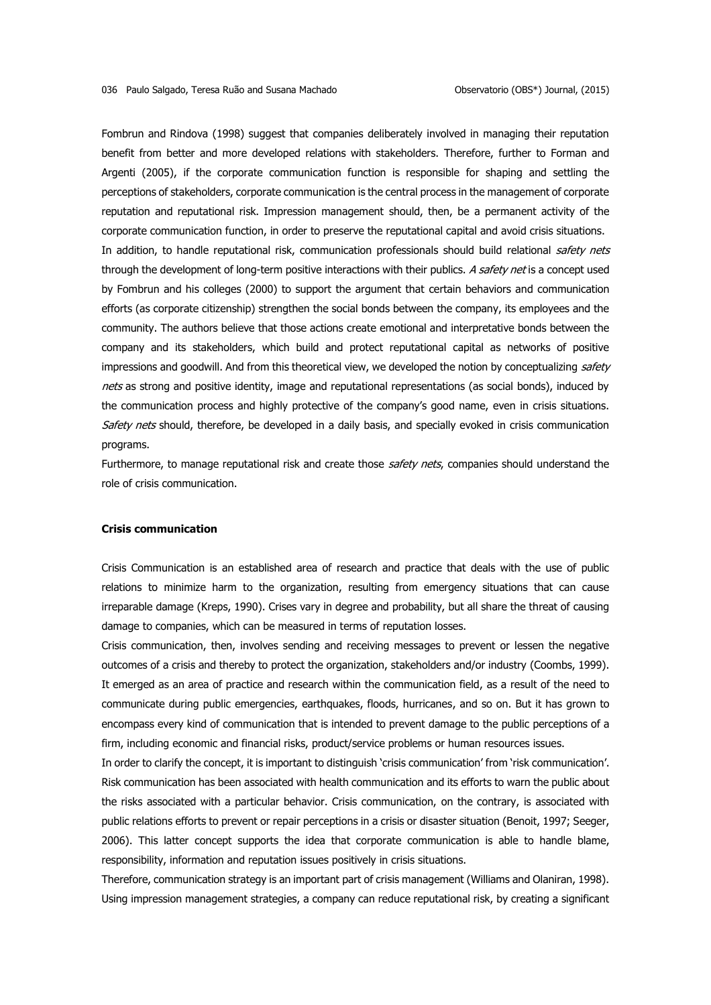Fombrun and Rindova (1998) suggest that companies deliberately involved in managing their reputation benefit from better and more developed relations with stakeholders. Therefore, further to Forman and Argenti (2005), if the corporate communication function is responsible for shaping and settling the perceptions of stakeholders, corporate communication is the central process in the management of corporate reputation and reputational risk. Impression management should, then, be a permanent activity of the corporate communication function, in order to preserve the reputational capital and avoid crisis situations. In addition, to handle reputational risk, communication professionals should build relational safety nets through the development of long-term positive interactions with their publics. A safety net is a concept used by Fombrun and his colleges (2000) to support the argument that certain behaviors and communication efforts (as corporate citizenship) strengthen the social bonds between the company, its employees and the community. The authors believe that those actions create emotional and interpretative bonds between the company and its stakeholders, which build and protect reputational capital as networks of positive impressions and goodwill. And from this theoretical view, we developed the notion by conceptualizing safety nets as strong and positive identity, image and reputational representations (as social bonds), induced by the communication process and highly protective of the company's good name, even in crisis situations. Safety nets should, therefore, be developed in a daily basis, and specially evoked in crisis communication programs.

Furthermore, to manage reputational risk and create those safety nets, companies should understand the role of crisis communication.

## **Crisis communication**

Crisis Communication is an established area of research and practice that deals with the use of public relations to minimize harm to the organization, resulting from emergency situations that can cause irreparable damage (Kreps, 1990). Crises vary in degree and probability, but all share the threat of causing damage to companies, which can be measured in terms of reputation losses.

Crisis communication, then, involves sending and receiving messages to prevent or lessen the negative outcomes of a crisis and thereby to protect the organization, stakeholders and/or industry (Coombs, 1999). It emerged as an area of practice and research within the communication field, as a result of the need to communicate during public emergencies, earthquakes, floods, hurricanes, and so on. But it has grown to encompass every kind of communication that is intended to prevent damage to the public perceptions of a firm, including economic and financial risks, product/service problems or human resources issues.

In order to clarify the concept, it is important to distinguish 'crisis communication' from 'risk communication'. Risk communication has been associated with health communication and its efforts to warn the public about the risks associated with a particular behavior. Crisis communication, on the contrary, is associated with public relations efforts to prevent or repair perceptions in a crisis or disaster situation (Benoit, 1997; Seeger, 2006). This latter concept supports the idea that corporate communication is able to handle blame, responsibility, information and reputation issues positively in crisis situations.

Therefore, communication strategy is an important part of crisis management (Williams and Olaniran, 1998). Using impression management strategies, a company can reduce reputational risk, by creating a significant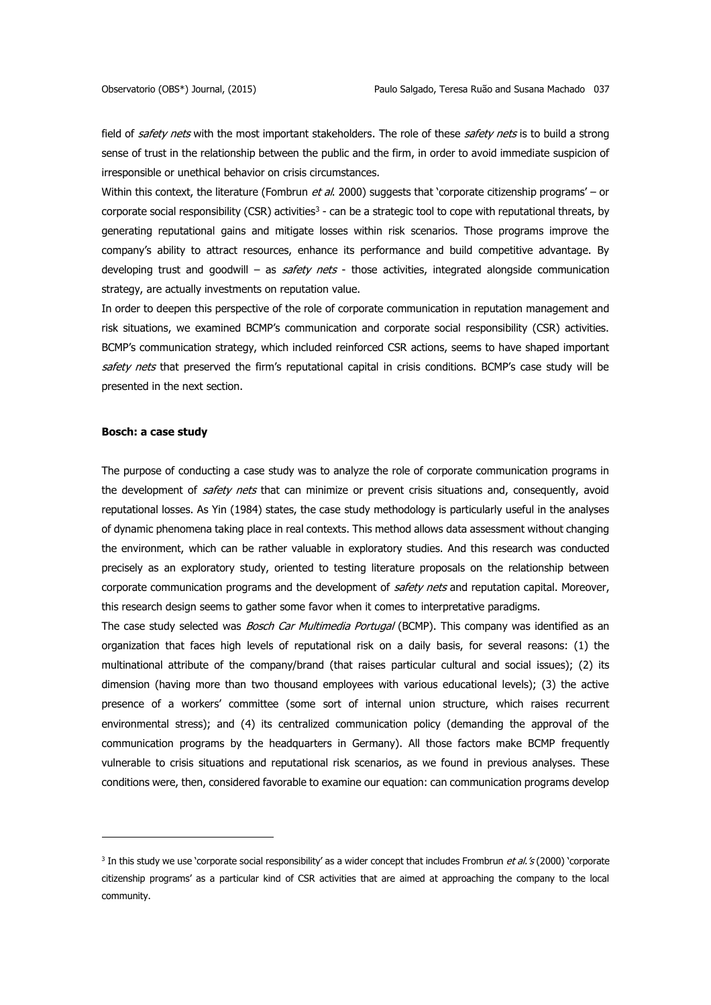field of safety nets with the most important stakeholders. The role of these safety nets is to build a strong sense of trust in the relationship between the public and the firm, in order to avoid immediate suspicion of irresponsible or unethical behavior on crisis circumstances.

Within this context, the literature (Fombrun et al. 2000) suggests that 'corporate citizenship programs' – or corporate social responsibility (CSR) activities<sup>3</sup> - can be a strategic tool to cope with reputational threats, by generating reputational gains and mitigate losses within risk scenarios. Those programs improve the company's ability to attract resources, enhance its performance and build competitive advantage. By developing trust and goodwill – as  $s$ afety nets - those activities, integrated alongside communication strategy, are actually investments on reputation value.

In order to deepen this perspective of the role of corporate communication in reputation management and risk situations, we examined BCMP's communication and corporate social responsibility (CSR) activities. BCMP's communication strategy, which included reinforced CSR actions, seems to have shaped important safety nets that preserved the firm's reputational capital in crisis conditions. BCMP's case study will be presented in the next section.

### **Bosch: a case study**

1

The purpose of conducting a case study was to analyze the role of corporate communication programs in the development of safety nets that can minimize or prevent crisis situations and, consequently, avoid reputational losses. As Yin (1984) states, the case study methodology is particularly useful in the analyses of dynamic phenomena taking place in real contexts. This method allows data assessment without changing the environment, which can be rather valuable in exploratory studies. And this research was conducted precisely as an exploratory study, oriented to testing literature proposals on the relationship between corporate communication programs and the development of safety nets and reputation capital. Moreover, this research design seems to gather some favor when it comes to interpretative paradigms.

The case study selected was *Bosch Car Multimedia Portugal* (BCMP). This company was identified as an organization that faces high levels of reputational risk on a daily basis, for several reasons: (1) the multinational attribute of the company/brand (that raises particular cultural and social issues); (2) its dimension (having more than two thousand employees with various educational levels); (3) the active presence of a workers' committee (some sort of internal union structure, which raises recurrent environmental stress); and (4) its centralized communication policy (demanding the approval of the communication programs by the headquarters in Germany). All those factors make BCMP frequently vulnerable to crisis situations and reputational risk scenarios, as we found in previous analyses. These conditions were, then, considered favorable to examine our equation: can communication programs develop

<sup>&</sup>lt;sup>3</sup> In this study we use 'corporate social responsibility' as a wider concept that includes Frombrun *et al.'s* (2000) 'corporate citizenship programs' as a particular kind of CSR activities that are aimed at approaching the company to the local community.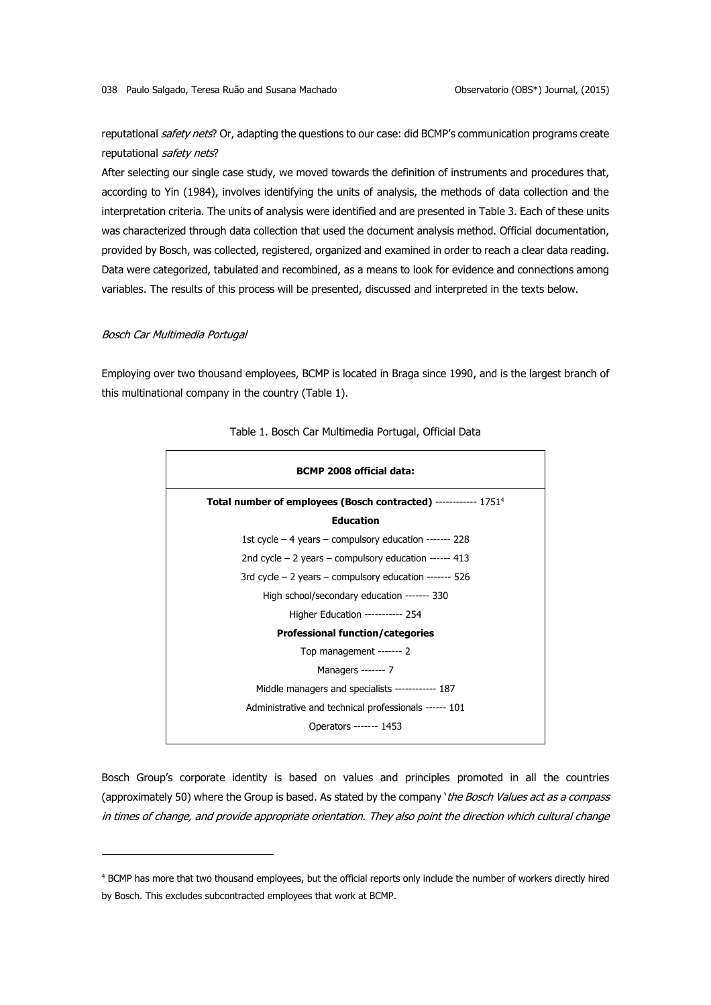reputational safety nets? Or, adapting the questions to our case: did BCMP's communication programs create reputational safety nets?

After selecting our single case study, we moved towards the definition of instruments and procedures that, according to Yin (1984), involves identifying the units of analysis, the methods of data collection and the interpretation criteria. The units of analysis were identified and are presented in Table 3. Each of these units was characterized through data collection that used the document analysis method. Official documentation, provided by Bosch, was collected, registered, organized and examined in order to reach a clear data reading. Data were categorized, tabulated and recombined, as a means to look for evidence and connections among variables. The results of this process will be presented, discussed and interpreted in the texts below.

#### Bosch Car Multimedia Portugal

<u>.</u>

Employing over two thousand employees, BCMP is located in Braga since 1990, and is the largest branch of this multinational company in the country (Table 1).



#### Table 1. Bosch Car Multimedia Portugal, Official Data

Bosch Group's corporate identity is based on values and principles promoted in all the countries (approximately 50) where the Group is based. As stated by the company 'the Bosch Values act as a compass in times of change, and provide appropriate orientation. They also point the direction which cultural change

<sup>4</sup> BCMP has more that two thousand employees, but the official reports only include the number of workers directly hired by Bosch. This excludes subcontracted employees that work at BCMP.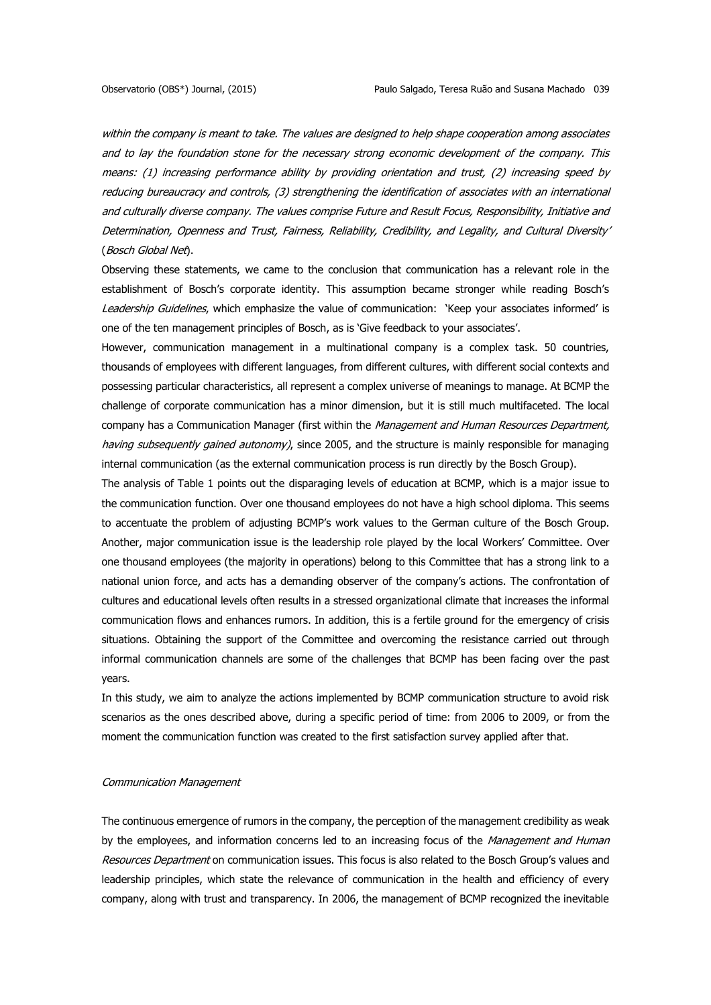within the company is meant to take. The values are designed to help shape cooperation among associates and to lay the foundation stone for the necessary strong economic development of the company. This means: (1) increasing performance ability by providing orientation and trust, (2) increasing speed by reducing bureaucracy and controls, (3) strengthening the identification of associates with an international and culturally diverse company. The values comprise Future and Result Focus, Responsibility, Initiative and Determination, Openness and Trust, Fairness, Reliability, Credibility, and Legality, and Cultural Diversity' (Bosch Global Net).

Observing these statements, we came to the conclusion that communication has a relevant role in the establishment of Bosch's corporate identity. This assumption became stronger while reading Bosch's Leadership Guidelines, which emphasize the value of communication: 'Keep your associates informed' is one of the ten management principles of Bosch, as is 'Give feedback to your associates'.

However, communication management in a multinational company is a complex task. 50 countries, thousands of employees with different languages, from different cultures, with different social contexts and possessing particular characteristics, all represent a complex universe of meanings to manage. At BCMP the challenge of corporate communication has a minor dimension, but it is still much multifaceted. The local company has a Communication Manager (first within the Management and Human Resources Department, having subsequently gained autonomy), since 2005, and the structure is mainly responsible for managing internal communication (as the external communication process is run directly by the Bosch Group).

The analysis of Table 1 points out the disparaging levels of education at BCMP, which is a major issue to the communication function. Over one thousand employees do not have a high school diploma. This seems to accentuate the problem of adjusting BCMP's work values to the German culture of the Bosch Group. Another, major communication issue is the leadership role played by the local Workers' Committee. Over one thousand employees (the majority in operations) belong to this Committee that has a strong link to a national union force, and acts has a demanding observer of the company's actions. The confrontation of cultures and educational levels often results in a stressed organizational climate that increases the informal communication flows and enhances rumors. In addition, this is a fertile ground for the emergency of crisis situations. Obtaining the support of the Committee and overcoming the resistance carried out through informal communication channels are some of the challenges that BCMP has been facing over the past years.

In this study, we aim to analyze the actions implemented by BCMP communication structure to avoid risk scenarios as the ones described above, during a specific period of time: from 2006 to 2009, or from the moment the communication function was created to the first satisfaction survey applied after that.

#### Communication Management

The continuous emergence of rumors in the company, the perception of the management credibility as weak by the employees, and information concerns led to an increasing focus of the Management and Human Resources Department on communication issues. This focus is also related to the Bosch Group's values and leadership principles, which state the relevance of communication in the health and efficiency of every company, along with trust and transparency. In 2006, the management of BCMP recognized the inevitable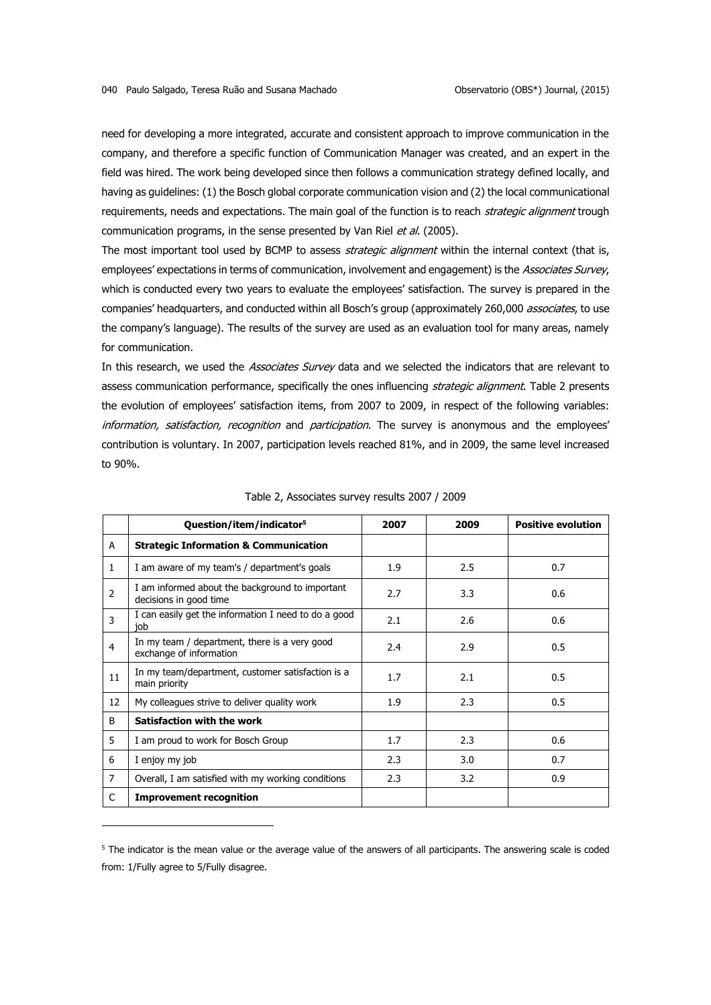need for developing a more integrated, accurate and consistent approach to improve communication in the company, and therefore a specific function of Communication Manager was created, and an expert in the field was hired. The work being developed since then follows a communication strategy defined locally, and having as guidelines: (1) the Bosch global corporate communication vision and (2) the local communicational requirements, needs and expectations. The main goal of the function is to reach strategic alignment trough communication programs, in the sense presented by Van Riel et al. (2005).

The most important tool used by BCMP to assess *strategic alignment* within the internal context (that is, employees' expectations in terms of communication, involvement and engagement) is the Associates Survey, which is conducted every two years to evaluate the employees' satisfaction. The survey is prepared in the companies' headquarters, and conducted within all Bosch's group (approximately 260,000 *associates*, to use the company's language). The results of the survey are used as an evaluation tool for many areas, namely for communication.

In this research, we used the Associates Survey data and we selected the indicators that are relevant to assess communication performance, specifically the ones influencing strategic alignment. Table 2 presents the evolution of employees' satisfaction items, from 2007 to 2009, in respect of the following variables: information, satisfaction, recognition and participation. The survey is anonymous and the employees' contribution is voluntary. In 2007, participation levels reached 81%, and in 2009, the same level increased to 90%.

|                | Question/item/indicator <sup>5</sup>                                      | 2007 | 2009 | <b>Positive evolution</b> |
|----------------|---------------------------------------------------------------------------|------|------|---------------------------|
| A              | <b>Strategic Information &amp; Communication</b>                          |      |      |                           |
| 1              | I am aware of my team's / department's goals                              | 1.9  | 2.5  | 0.7                       |
| 2              | I am informed about the background to important<br>decisions in good time | 2.7  | 3.3  | 0.6                       |
| 3              | I can easily get the information I need to do a good<br>iob               | 2.1  | 2.6  | 0.6                       |
| 4              | In my team / department, there is a very good<br>exchange of information  | 2.4  | 2.9  | 0.5                       |
| 11             | In my team/department, customer satisfaction is a<br>main priority        | 1.7  | 2.1  | 0.5                       |
| 12             | My colleagues strive to deliver quality work                              | 1.9  | 2.3  | 0.5                       |
| B.             | Satisfaction with the work                                                |      |      |                           |
| 5              | I am proud to work for Bosch Group                                        | 1.7  | 2.3  | 0.6                       |
| 6              | I enjoy my job                                                            | 2.3  | 3.0  | 0.7                       |
| $\overline{7}$ | Overall, I am satisfied with my working conditions                        | 2.3  | 3.2  | 0.9                       |
| C              | <b>Improvement recognition</b>                                            |      |      |                           |

| Table 2, Associates survey results 2007 / 2009 |  |  |  |  |
|------------------------------------------------|--|--|--|--|
|------------------------------------------------|--|--|--|--|

1

<sup>&</sup>lt;sup>5</sup> The indicator is the mean value or the average value of the answers of all participants. The answering scale is coded from: 1/Fully agree to 5/Fully disagree.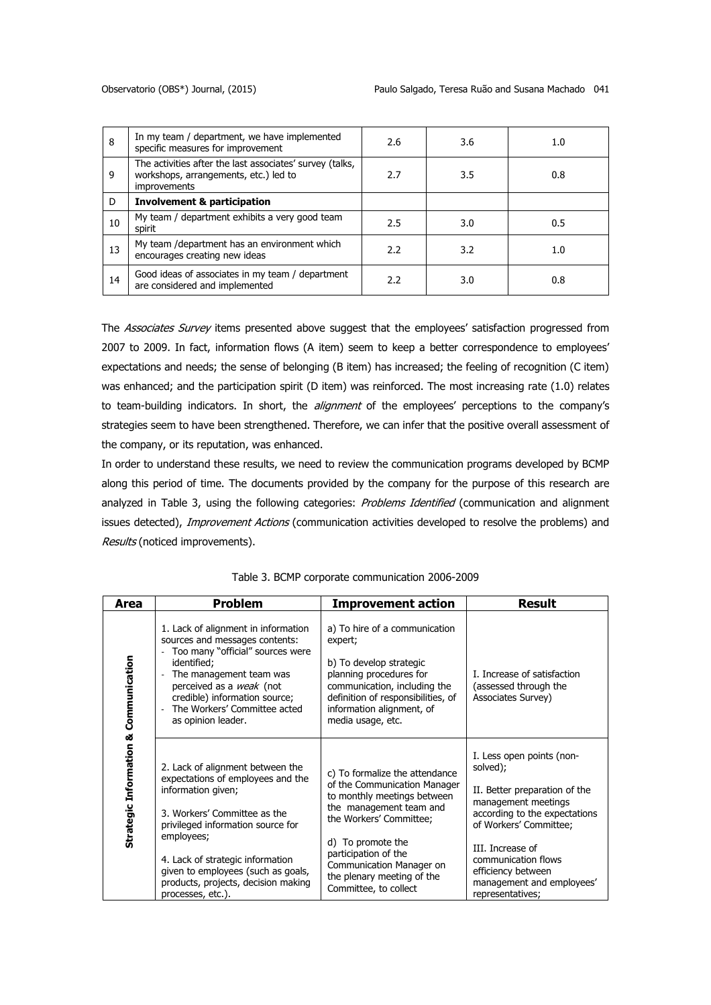| 8  | In my team / department, we have implemented<br>specific measures for improvement                                 | 2.6           | 3.6 | 1.0 |
|----|-------------------------------------------------------------------------------------------------------------------|---------------|-----|-----|
| 9  | The activities after the last associates' survey (talks,<br>workshops, arrangements, etc.) led to<br>improvements | 2.7           | 3.5 | 0.8 |
| D  | <b>Involvement &amp; participation</b>                                                                            |               |     |     |
| 10 | My team / department exhibits a very good team<br>spirit                                                          | 2.5           | 3.0 | 0.5 |
| 13 | My team /department has an environment which<br>encourages creating new ideas                                     | $2.2^{\circ}$ | 3.2 | 1.0 |
| 14 | Good ideas of associates in my team / department<br>are considered and implemented                                | 2.2           | 3.0 | 0.8 |

The Associates Survey items presented above suggest that the employees' satisfaction progressed from 2007 to 2009. In fact, information flows (A item) seem to keep a better correspondence to employees' expectations and needs; the sense of belonging (B item) has increased; the feeling of recognition (C item) was enhanced; and the participation spirit (D item) was reinforced. The most increasing rate (1.0) relates to team-building indicators. In short, the *alignment* of the employees' perceptions to the company's strategies seem to have been strengthened. Therefore, we can infer that the positive overall assessment of the company, or its reputation, was enhanced.

In order to understand these results, we need to review the communication programs developed by BCMP along this period of time. The documents provided by the company for the purpose of this research are analyzed in Table 3, using the following categories: Problems Identified (communication and alignment issues detected), Improvement Actions (communication activities developed to resolve the problems) and Results (noticed improvements).

| Area                                  | <b>Problem</b>                                                                                                                                                                                                                                                                                                       | <b>Improvement action</b>                                                                                                                                                                                                                                                           | <b>Result</b>                                                                                                                                                                                                                                                              |
|---------------------------------------|----------------------------------------------------------------------------------------------------------------------------------------------------------------------------------------------------------------------------------------------------------------------------------------------------------------------|-------------------------------------------------------------------------------------------------------------------------------------------------------------------------------------------------------------------------------------------------------------------------------------|----------------------------------------------------------------------------------------------------------------------------------------------------------------------------------------------------------------------------------------------------------------------------|
| Communication                         | 1. Lack of alignment in information<br>sources and messages contents:<br>Too many "official" sources were<br>$\blacksquare$<br>identified;<br>The management team was<br>$\overline{\phantom{a}}$<br>perceived as a weak (not<br>credible) information source;<br>The Workers' Committee acted<br>as opinion leader. | a) To hire of a communication<br>expert;<br>b) To develop strategic<br>planning procedures for<br>communication, including the<br>definition of responsibilities, of<br>information alignment, of<br>media usage, etc.                                                              | <b>I. Increase of satisfaction</b><br>(assessed through the<br>Associates Survey)                                                                                                                                                                                          |
| <b>Information &amp;</b><br>Strategic | 2. Lack of alignment between the<br>expectations of employees and the<br>information given;<br>3. Workers' Committee as the<br>privileged information source for<br>employees;<br>4. Lack of strategic information<br>given to employees (such as goals,<br>products, projects, decision making<br>processes, etc.). | c) To formalize the attendance<br>of the Communication Manager<br>to monthly meetings between<br>the management team and<br>the Workers' Committee;<br>d) To promote the<br>participation of the<br>Communication Manager on<br>the plenary meeting of the<br>Committee, to collect | I. Less open points (non-<br>solved);<br>II. Better preparation of the<br>management meetings<br>according to the expectations<br>of Workers' Committee;<br>III. Increase of<br>communication flows<br>efficiency between<br>management and employees'<br>representatives; |

Table 3. BCMP corporate communication 2006-2009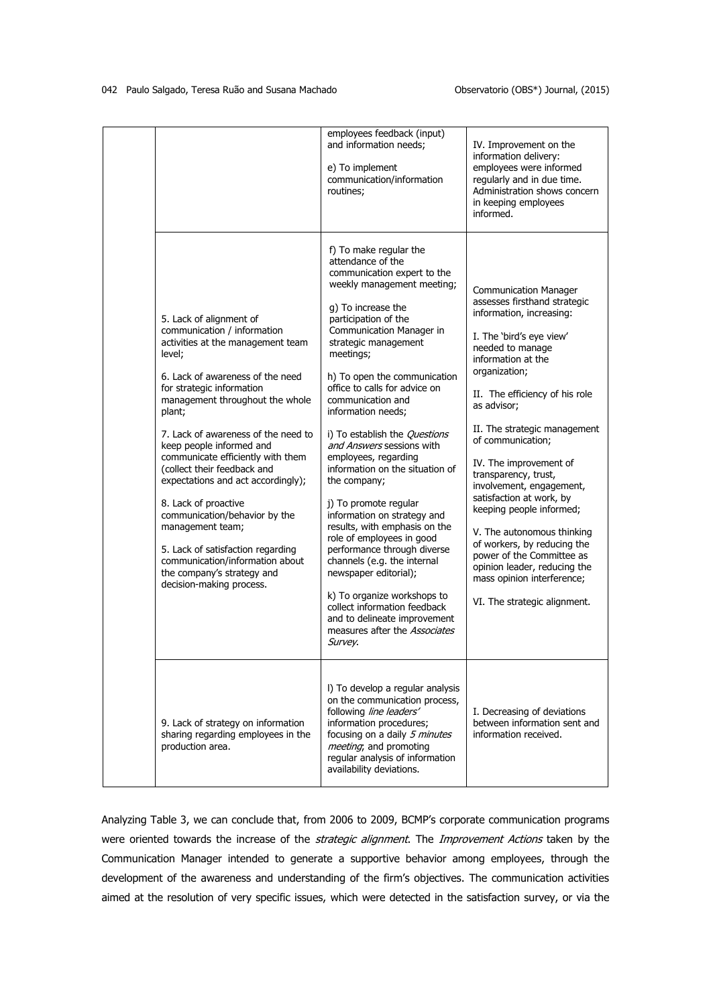|                                                                                                                                                                                                                                                                                                                                                                                                                                                                                                                                                                                                                 | employees feedback (input)<br>and information needs;<br>e) To implement<br>communication/information<br>routines;                                                                                                                                                                                                                                                                                                                                                                                                                                                                                                                                                                                                                                                                                                                    | IV. Improvement on the<br>information delivery:<br>employees were informed<br>regularly and in due time.<br>Administration shows concern<br>in keeping employees<br>informed.                                                                                                                                                                                                                                                                                                                                                                                                                                       |
|-----------------------------------------------------------------------------------------------------------------------------------------------------------------------------------------------------------------------------------------------------------------------------------------------------------------------------------------------------------------------------------------------------------------------------------------------------------------------------------------------------------------------------------------------------------------------------------------------------------------|--------------------------------------------------------------------------------------------------------------------------------------------------------------------------------------------------------------------------------------------------------------------------------------------------------------------------------------------------------------------------------------------------------------------------------------------------------------------------------------------------------------------------------------------------------------------------------------------------------------------------------------------------------------------------------------------------------------------------------------------------------------------------------------------------------------------------------------|---------------------------------------------------------------------------------------------------------------------------------------------------------------------------------------------------------------------------------------------------------------------------------------------------------------------------------------------------------------------------------------------------------------------------------------------------------------------------------------------------------------------------------------------------------------------------------------------------------------------|
| 5. Lack of alignment of<br>communication / information<br>activities at the management team<br>level;<br>6. Lack of awareness of the need<br>for strategic information<br>management throughout the whole<br>plant;<br>7. Lack of awareness of the need to<br>keep people informed and<br>communicate efficiently with them<br>(collect their feedback and<br>expectations and act accordingly);<br>8. Lack of proactive<br>communication/behavior by the<br>management team;<br>5. Lack of satisfaction regarding<br>communication/information about<br>the company's strategy and<br>decision-making process. | f) To make regular the<br>attendance of the<br>communication expert to the<br>weekly management meeting;<br>g) To increase the<br>participation of the<br>Communication Manager in<br>strategic management<br>meetings;<br>h) To open the communication<br>office to calls for advice on<br>communication and<br>information needs;<br>i) To establish the Questions<br>and Answers sessions with<br>employees, regarding<br>information on the situation of<br>the company;<br>j) To promote regular<br>information on strategy and<br>results, with emphasis on the<br>role of employees in good<br>performance through diverse<br>channels (e.g. the internal<br>newspaper editorial);<br>k) To organize workshops to<br>collect information feedback<br>and to delineate improvement<br>measures after the Associates<br>Survey. | <b>Communication Manager</b><br>assesses firsthand strategic<br>information, increasing:<br>I. The 'bird's eye view'<br>needed to manage<br>information at the<br>organization;<br>II. The efficiency of his role<br>as advisor;<br>II. The strategic management<br>of communication;<br>IV. The improvement of<br>transparency, trust,<br>involvement, engagement,<br>satisfaction at work, by<br>keeping people informed;<br>V. The autonomous thinking<br>of workers, by reducing the<br>power of the Committee as<br>opinion leader, reducing the<br>mass opinion interference;<br>VI. The strategic alignment. |
| 9. Lack of strategy on information<br>sharing regarding employees in the<br>production area.                                                                                                                                                                                                                                                                                                                                                                                                                                                                                                                    | I) To develop a regular analysis<br>on the communication process,<br>following line leaders'<br>information procedures;<br>focusing on a daily 5 minutes<br>meeting; and promoting<br>regular analysis of information<br>availability deviations.                                                                                                                                                                                                                                                                                                                                                                                                                                                                                                                                                                                    | I. Decreasing of deviations<br>between information sent and<br>information received.                                                                                                                                                                                                                                                                                                                                                                                                                                                                                                                                |

Analyzing Table 3, we can conclude that, from 2006 to 2009, BCMP's corporate communication programs were oriented towards the increase of the strategic alignment. The Improvement Actions taken by the Communication Manager intended to generate a supportive behavior among employees, through the development of the awareness and understanding of the firm's objectives. The communication activities aimed at the resolution of very specific issues, which were detected in the satisfaction survey, or via the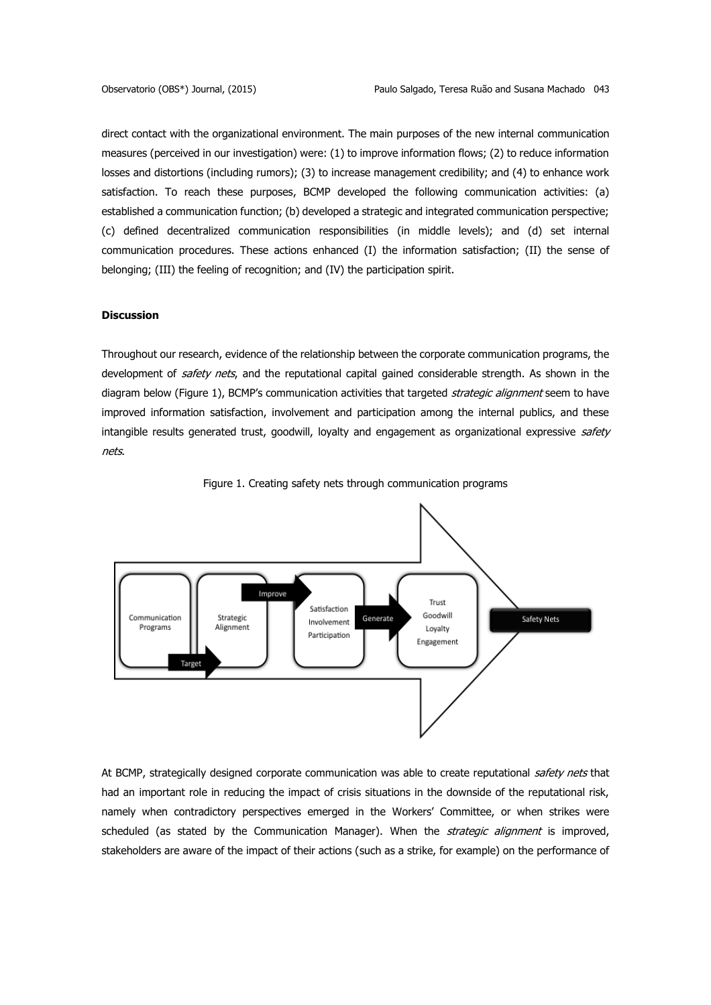direct contact with the organizational environment. The main purposes of the new internal communication measures (perceived in our investigation) were: (1) to improve information flows; (2) to reduce information losses and distortions (including rumors); (3) to increase management credibility; and (4) to enhance work satisfaction. To reach these purposes, BCMP developed the following communication activities: (a) established a communication function; (b) developed a strategic and integrated communication perspective; (c) defined decentralized communication responsibilities (in middle levels); and (d) set internal communication procedures. These actions enhanced (I) the information satisfaction; (II) the sense of belonging; (III) the feeling of recognition; and (IV) the participation spirit.

## **Discussion**

Throughout our research, evidence of the relationship between the corporate communication programs, the development of safety nets, and the reputational capital gained considerable strength. As shown in the diagram below (Figure 1), BCMP's communication activities that targeted strategic alignment seem to have improved information satisfaction, involvement and participation among the internal publics, and these intangible results generated trust, goodwill, loyalty and engagement as organizational expressive safety nets.





At BCMP, strategically designed corporate communication was able to create reputational safety nets that had an important role in reducing the impact of crisis situations in the downside of the reputational risk, namely when contradictory perspectives emerged in the Workers' Committee, or when strikes were scheduled (as stated by the Communication Manager). When the *strategic alignment* is improved, stakeholders are aware of the impact of their actions (such as a strike, for example) on the performance of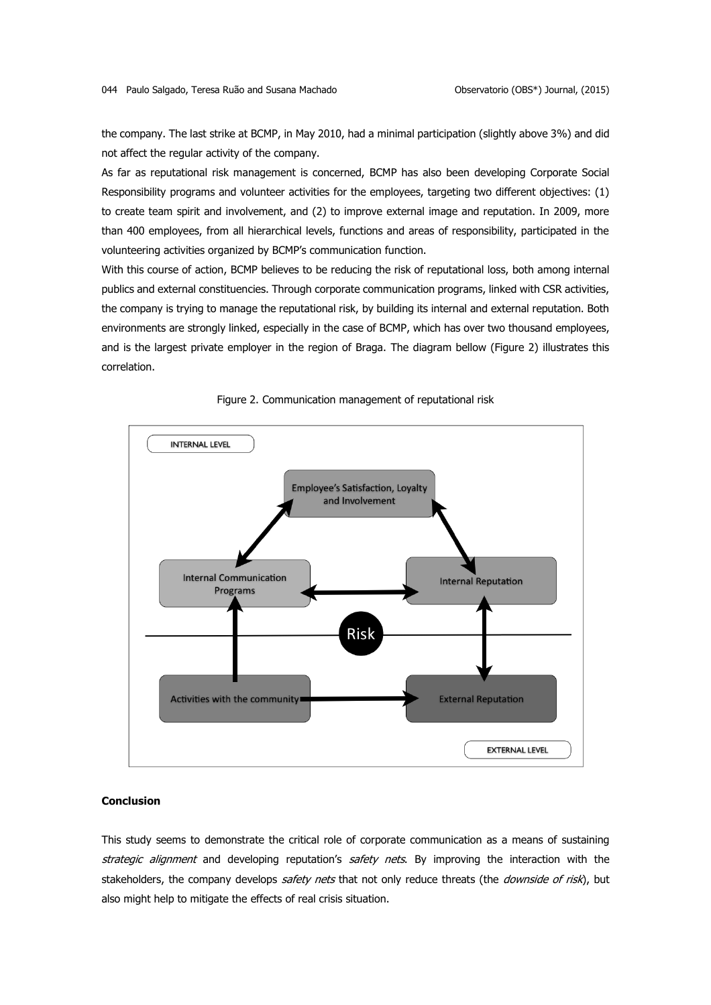the company. The last strike at BCMP, in May 2010, had a minimal participation (slightly above 3%) and did not affect the regular activity of the company.

As far as reputational risk management is concerned, BCMP has also been developing Corporate Social Responsibility programs and volunteer activities for the employees, targeting two different objectives: (1) to create team spirit and involvement, and (2) to improve external image and reputation. In 2009, more than 400 employees, from all hierarchical levels, functions and areas of responsibility, participated in the volunteering activities organized by BCMP's communication function.

With this course of action, BCMP believes to be reducing the risk of reputational loss, both among internal publics and external constituencies. Through corporate communication programs, linked with CSR activities, the company is trying to manage the reputational risk, by building its internal and external reputation. Both environments are strongly linked, especially in the case of BCMP, which has over two thousand employees, and is the largest private employer in the region of Braga. The diagram bellow (Figure 2) illustrates this correlation.





## **Conclusion**

This study seems to demonstrate the critical role of corporate communication as a means of sustaining strategic alignment and developing reputation's safety nets. By improving the interaction with the stakeholders, the company develops safety nets that not only reduce threats (the downside of risk), but also might help to mitigate the effects of real crisis situation.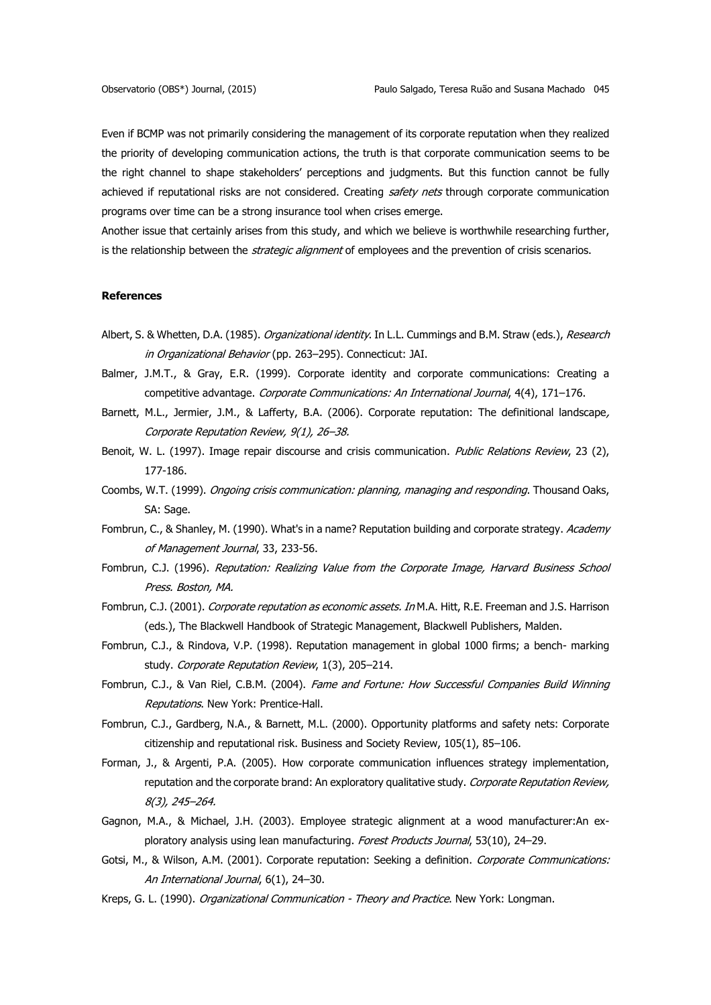Even if BCMP was not primarily considering the management of its corporate reputation when they realized the priority of developing communication actions, the truth is that corporate communication seems to be the right channel to shape stakeholders' perceptions and judgments. But this function cannot be fully achieved if reputational risks are not considered. Creating safety nets through corporate communication programs over time can be a strong insurance tool when crises emerge.

Another issue that certainly arises from this study, and which we believe is worthwhile researching further, is the relationship between the *strategic alignment* of employees and the prevention of crisis scenarios.

## **References**

- Albert, S. & Whetten, D.A. (1985). Organizational identity. In L.L. Cummings and B.M. Straw (eds.), Research in Organizational Behavior (pp. 263-295). Connecticut: JAI.
- Balmer, J.M.T., & Gray, E.R. (1999). Corporate identity and corporate communications: Creating a competitive advantage. Corporate Communications: An International Journal, 4(4), 171-176.
- Barnett, M.L., Jermier, J.M., & Lafferty, B.A. (2006). Corporate reputation: The definitional landscape, Corporate Reputation Review, 9(1), 26–38.
- Benoit, W. L. (1997). Image repair discourse and crisis communication. Public Relations Review, 23 (2), 177-186.
- Coombs, W.T. (1999). Ongoing crisis communication: planning, managing and responding. Thousand Oaks, SA: Sage.
- Fombrun, C., & Shanley, M. (1990). What's in a name? Reputation building and corporate strategy. Academy of Management Journal, 33, 233-56.
- Fombrun, C.J. (1996). Reputation: Realizing Value from the Corporate Image, Harvard Business School Press. Boston, MA.
- Fombrun, C.J. (2001). Corporate reputation as economic assets. In M.A. Hitt, R.E. Freeman and J.S. Harrison (eds.), The Blackwell Handbook of Strategic Management, Blackwell Publishers, Malden.
- Fombrun, C.J., & Rindova, V.P. (1998). Reputation management in global 1000 firms; a bench- marking study. Corporate Reputation Review, 1(3), 205-214.
- Fombrun, C.J., & Van Riel, C.B.M. (2004). Fame and Fortune: How Successful Companies Build Winning Reputations. New York: Prentice-Hall.
- Fombrun, C.J., Gardberg, N.A., & Barnett, M.L. (2000). Opportunity platforms and safety nets: Corporate citizenship and reputational risk. Business and Society Review, 105(1), 85–106.
- Forman, J., & Argenti, P.A. (2005). How corporate communication influences strategy implementation, reputation and the corporate brand: An exploratory qualitative study. Corporate Reputation Review, 8(3), 245–264.
- Gagnon, M.A., & Michael, J.H. (2003). Employee strategic alignment at a wood manufacturer:An exploratory analysis using lean manufacturing. Forest Products Journal, 53(10), 24-29.
- Gotsi, M., & Wilson, A.M. (2001). Corporate reputation: Seeking a definition. Corporate Communications: An International Journal, 6(1), 24-30.
- Kreps, G. L. (1990). *Organizational Communication Theory and Practice*. New York: Longman.